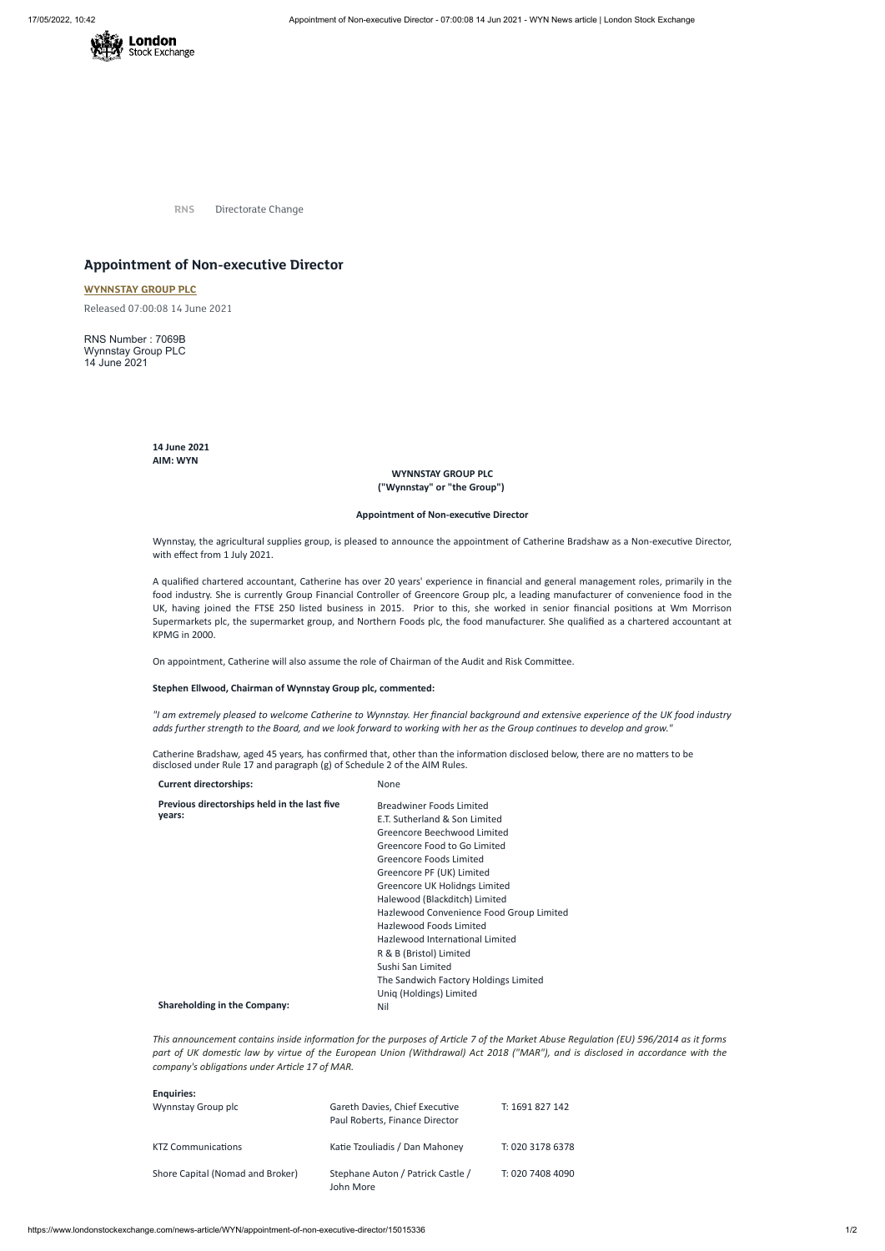

**RNS** Directorate Change

# **Appointment of Non-executive Director**

## **[WYNNSTAY](https://www.londonstockexchange.com/stock/WYN/wynnstay-group-plc) GROUP PLC**

Released 07:00:08 14 June 2021

RNS Number : 7069B Wynnstay Group PLC 14 June 2021

> **14 June 2021 AIM: WYN**

### **WYNNSTAY GROUP PLC ("Wynnstay" or "the Group")**

#### **Appointment of Non-executive Director**

Wynnstay, the agricultural supplies group, is pleased to announce the appointment of Catherine Bradshaw as a Non-executive Director, with effect from 1 July 2021.

A qualified chartered accountant, Catherine has over 20 years' experience in financial and general management roles, primarily in the food industry. She is currently Group Financial Controller of Greencore Group plc, a leading manufacturer of convenience food in the UK, having joined the FTSE 250 listed business in 2015. Prior to this, she worked in senior financial positions at Wm Morrison Supermarkets plc, the supermarket group, and Northern Foods plc, the food manufacturer. She qualified as a chartered accountant at KPMG in 2000.

On appointment, Catherine will also assume the role of Chairman of the Audit and Risk Committee.

#### **Stephen Ellwood, Chairman of Wynnstay Group plc, commented:**

"I am extremely pleased to welcome Catherine to Wynnstay. Her financial background and extensive experience of the UK food industry adds further strength to the Board, and we look forward to working with her as the Group continues to develop and grow."

This announcement contains inside information for the purposes of Article 7 of the Market Abuse Regulation (EU) 596/2014 as it forms part of UK domestic law by virtue of the European Union (Withdrawal) Act 2018 ("MAR"), and is disclosed in accordance with the *company's obligations under Article 17 of MAR.*

Catherine Bradshaw*,* aged 45 years*,* has confirmed that, other than the information disclosed below, there are no matters to be disclosed under Rule 17 and paragraph (g) of Schedule 2 of the AIM Rules.

| <b>Current directorships:</b>                          | None                                     |
|--------------------------------------------------------|------------------------------------------|
| Previous directorships held in the last five<br>years: | Breadwiner Foods Limited                 |
|                                                        | E.T. Sutherland & Son Limited            |
|                                                        | Greencore Beechwood Limited              |
|                                                        | Greencore Food to Go Limited             |
|                                                        | Greencore Foods Limited                  |
|                                                        | Greencore PF (UK) Limited                |
|                                                        | Greencore UK Holidngs Limited            |
|                                                        | Halewood (Blackditch) Limited            |
|                                                        | Hazlewood Convenience Food Group Limited |
|                                                        | Hazlewood Foods Limited                  |
|                                                        | Hazlewood International Limited          |

R & B (Bristol) Limited Sushi San Limited The Sandwich Factory Holdings Limited Uniq (Holdings) Limited

### **Shareholding in the Company:** Nil

#### **Enquiries:**

| Wynnstay Group plc               | Gareth Davies, Chief Executive<br>Paul Roberts, Finance Director | T: 1691 827 142  |
|----------------------------------|------------------------------------------------------------------|------------------|
| <b>KTZ Communications</b>        | Katie Tzouliadis / Dan Mahoney                                   | T: 020 3178 6378 |
| Shore Capital (Nomad and Broker) | Stephane Auton / Patrick Castle /<br>John More                   | T: 020 7408 4090 |

https://www.londonstockexchange.com/news-article/WYN/appointment-of-non-executive-director/15015336 1/2